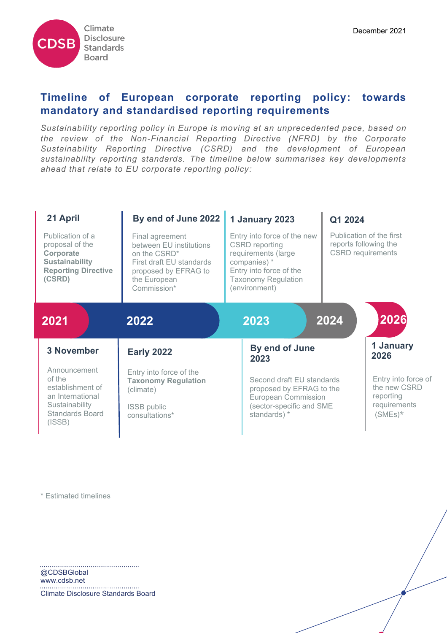

# **Timeline of European corporate reporting policy: towards mandatory and standardised reporting requirements**

*Sustainability reporting policy in Europe is moving at an unprecedented pace, based on the review of the Non-Financial Reporting Directive (NFRD) by the Corporate Sustainability Reporting Directive (CSRD) and the development of European sustainability reporting standards. The timeline below summarises key developments ahead that relate to EU corporate reporting policy:*

| 21 April                                                                                                          | By end of June 2022                                                                                                                                       | 1 January 2023                                                                                                                                                        | Q1 2024                                                                       |
|-------------------------------------------------------------------------------------------------------------------|-----------------------------------------------------------------------------------------------------------------------------------------------------------|-----------------------------------------------------------------------------------------------------------------------------------------------------------------------|-------------------------------------------------------------------------------|
| Publication of a<br>proposal of the<br>Corporate<br><b>Sustainability</b><br><b>Reporting Directive</b><br>(CSRD) | Final agreement<br>between EU institutions<br>on the CSRD <sup>*</sup><br>First draft EU standards<br>proposed by EFRAG to<br>the European<br>Commission* | Entry into force of the new<br><b>CSRD</b> reporting<br>requirements (large<br>companies) *<br>Entry into force of the<br><b>Taxonomy Regulation</b><br>(environment) | Publication of the first<br>reports following the<br><b>CSRD</b> requirements |
| 2021                                                                                                              | 2022                                                                                                                                                      | 2023                                                                                                                                                                  | 2026<br>2024                                                                  |
| <b>3 November</b>                                                                                                 | <b>Early 2022</b>                                                                                                                                         | By end of June<br>2023                                                                                                                                                | 1 January<br>2026                                                             |
| Announcement<br>of the<br>establishment of<br>an International<br>Sustainability<br>Standards Board<br>(ISSB)     | Entry into force of the<br><b>Taxonomy Regulation</b><br>(climate)<br>ISSB public<br>consultations*                                                       | Second draft EU standards<br>proposed by EFRAG to the<br><b>European Commission</b><br>(sector-specific and SME<br>standards) *                                       | Entry into force of<br>the new CSRD<br>reporting<br>requirements<br>$(SMEs)*$ |

\* Estimated timelines